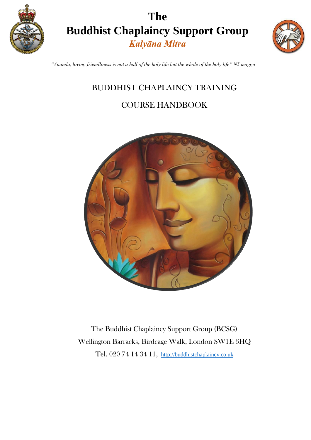

# **The Buddhist Chaplaincy Support Group** *Kalyāna Mitra*



*"Ananda, loving friendliness is not a half of the holy life but the whole of the holy life" N5 magga* 

### BUDDHIST CHAPLAINCY TRAINING

### COURSE HANDBOOK



The Buddhist Chaplaincy Support Group (BCSG) Wellington Barracks, Birdcage Walk, London SW1E 6HQ Tel. 020 74 14 34 11[,](http://www.thebuddhistsociety.org/) [http://buddhistchaplaincy.co.uk](http://buddhistchaplaincy.co.uk/)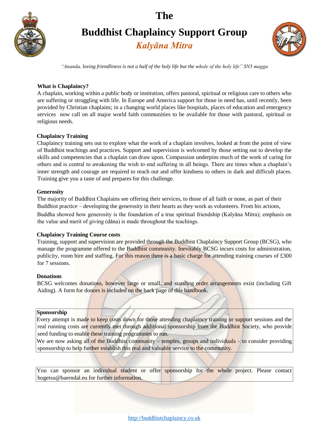

# **Buddhist Chaplaincy Support Group**

*Kalyāna Mitra*



*"Ananda, loving friendliness is not a half of the holy life but the whole of the holy life" SN5 magga*

#### **What is Chaplaincy?**

A chaplain, working within a public body or institution, offers pastoral, spiritual or religious care to others who are suffering or struggling with life. In Europe and America support for those in need has, until recently, been provided by Christian chaplains; in a changing world places like hospitals, places of education and emergency services now call on all major world faith communities to be available for those with pastoral, spiritual or religious needs.

### **Chaplaincy Training**

Chaplaincy training sets out to explore what the work of a chaplain involves, looked at from the point of view of Buddhist teachings and practices. Support and supervision is welcomed by those setting out to develop the skills and competencies that a chaplain can draw upon. Compassion underpins much of the work of caring for others and is central to awakening the wish to end suffering in all beings. There are times when a chaplain's inner strength and courage are required to reach out and offer kindness to others in dark and difficult places. Training give you a taste of and prepares for this challenge.

#### **Generosity**

The majority of Buddhist Chaplains see offering their services, to those of all faith or none, as part of their Buddhist practice – developing the generosity in their hearts as they work as volunteers. From his actions,

Buddha showed how generosity is the foundation of a true spiritual friendship (Kalyāna Mitra); emphasis on the value and merit of giving (dāna) is made throughout the teachings.

#### **Chaplaincy Training Course costs**

Training, support and supervision are provided through the Buddhist Chaplaincy Support Group (BCSG), who manage the programme offered to the Buddhist community. Inevitably BCSG incurs costs for administration, publicity, room hire and staffing. For this reason there is a basic charge for attending training courses of £300 for 7 sessions.

#### **Donations**

BCSG welcomes donations, however large or small, and standing order arrangements exist (including Gift Aiding). A form for donors is included on the back page of this handbook.

#### **Sponsorship**

Every attempt is made to keep costs down for those attending chaplaincy training or support sessions and the real running costs are currently met through additional sponsorship from the Buddhist Society, who provide seed funding to enable these training programmes to run.

We are now asking all of the Buddhist community – temples, groups and individuals – to consider providing sponsorship to help further establish this real and valuable service to the community.

You can sponsor an individual student or offer sponsorship for the whole project. Please contact hogetsu@baerndal.eu for further information.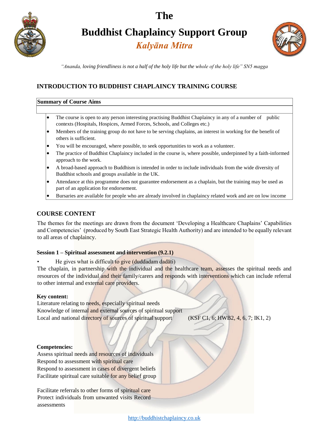

**Buddhist Chaplaincy Support Group**

*Kalyāna Mitra*



*"Ananda, loving friendliness is not a half of the holy life but the whole of the holy life" SN5 magga*

### **INTRODUCTION TO BUDDHIST CHAPLAINCY TRAINING COURSE**

#### **Summary of Course Aims**

- The course is open to any person interesting practising Buddhist Chaplaincy in any of a number of public contexts (Hospitals, Hospices, Armed Forces, Schools, and Colleges etc.)
- Members of the training group do not have to be serving chaplains, an interest in working for the benefit of others is sufficient.
- You will be encouraged, where possible, to seek opportunities to work as a volunteer.
- The practice of Buddhist Chaplaincy included in the course is, where possible, underpinned by a faith-informed approach to the work.
- A broad-based approach to Buddhism is intended in order to include individuals from the wide diversity of Buddhist schools and groups available in the UK.
- Attendance at this programme does not guarantee endorsement as a chaplain, but the training may be used as part of an application for endorsement.
- Bursaries are available for people who are already involved in chaplaincy related work and are on low income

### **COURSE CONTENT**

The themes for the meetings are drawn from the document 'Developing a Healthcare Chaplains' Capabilities and Competencies' (produced by South East Strategic Health Authority) and are intended to be equally relevant to all areas of chaplaincy.

#### **Session 1 – Spiritual assessment and intervention (9.2.1)**

He gives what is difficult to give (duddadam dadāti)

The chaplain, in partnership with the individual and the healthcare team, assesses the spiritual needs and resources of the individual and their family/carers and responds with interventions which can include referral to other internal and external care providers.

#### **Key content:**

Literature relating to needs, especially spiritual needs Knowledge of internal and external sources of spiritual support Local and national directory of sources of spiritual support (KSF C1, 6; HWB2, 4, 6, 7; IK1, 2)

#### **Competencies:**

Assess spiritual needs and resources of individuals Respond to assessment with spiritual care Respond to assessment in cases of divergent beliefs Facilitate spiritual care suitable for any belief group

Facilitate referrals to other forms of spiritual care Protect individuals from unwanted visits Record assessments

[http://buddhistchaplaincy.co.uk](http://buddhistchaplaincy.co.uk/)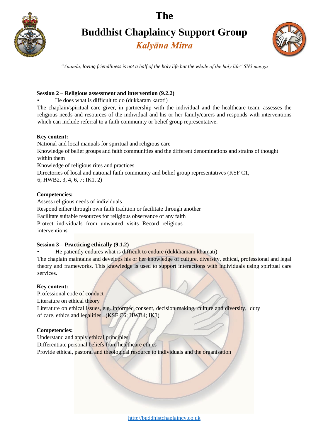

# **Buddhist Chaplaincy Support Group**

*Kalyāna Mitra*



*"Ananda, loving friendliness is not a half of the holy life but the whole of the holy life" SN5 magga*

#### **Session 2 – Religious assessment and intervention (9.2.2)**

• He does what is difficult to do (dukkaram karoti)

The chaplain/spiritual care giver, in partnership with the individual and the healthcare team, assesses the religious needs and resources of the individual and his or her family/carers and responds with interventions which can include referral to a faith community or belief group representative.

#### **Key content:**

National and local manuals for spiritual and religious care Knowledge of belief groups and faith communities and the different denominations and strains of thought within them Knowledge of religious rites and practices Directories of local and national faith community and belief group representatives (KSF C1, 6; HWB2, 3, 4, 6, 7; IK1, 2)

#### **Competencies:**

Assess religious needs of individuals

Respond either through own faith tradition or facilitate through another

Facilitate suitable resources for religious observance of any faith

Protect individuals from unwanted visits Record religious interventions

#### **Session 3 – Practicing ethically (9.1.2)**

• He patiently endures what is difficult to endure (dukkhamam khamati)

The chaplain maintains and develops his or her knowledge of culture, diversity, ethical, professional and legal theory and frameworks. This knowledge is used to support interactions with individuals using spiritual care services.

#### **Key content:**

Professional code of conduct

Literature on ethical theory

Literature on ethical issues, e.g. informed consent, decision making, culture and diversity, duty of care, ethics and legalities (KSF C6; HWB4; IK3)

#### **Competencies:**

Understand and apply ethical principles Differentiate personal beliefs from healthcare ethics Provide ethical, pastoral and theological resource to individuals and the organisation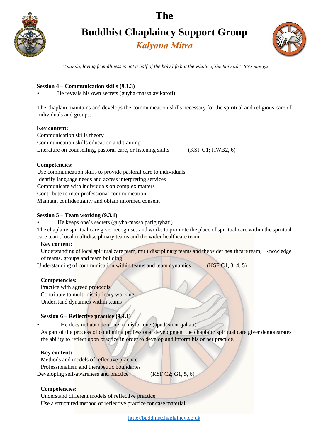

# **Buddhist Chaplaincy Support Group**

*Kalyāna Mitra*



*"Ananda, loving friendliness is not a half of the holy life but the whole of the holy life" SN5 magga*

#### **Session 4 – Communication skills (9.1.3)**

• He reveals his own secrets (guyha-massa avikaroti)

The chaplain maintains and develops the communication skills necessary for the spiritual and religious care of individuals and groups.

#### **Key content:**

Communication skills theory Communication skills education and training Literature on counselling, pastoral care, or listening skills (KSF C1; HWB2, 6)

#### **Competencies:**

Use communication skills to provide pastoral care to individuals Identify language needs and access interpreting services Communicate with individuals on complex matters Contribute to inter professional communication Maintain confidentiality and obtain informed consent

#### **Session 5 – Team working (9.3.1)**

• He keeps one's secrets (guyha-massa pariguyhati)

The chaplain/ spiritual care giver recognises and works to promote the place of spiritual care within the spiritual care team, local multidisciplinary teams and the wider healthcare team.

#### **Key content:**

Understanding of local spiritual care team, multidisciplinary teams and the wider healthcare team; Knowledge of teams, groups and team building

Understanding of communication within teams and team dynamics (KSF C1, 3, 4, 5)

#### **Competencies:**

Practice with agreed protocols Contribute to multi-disciplinary working Understand dynamics within teams

#### **Session 6 – Reflective practice (9.4.1)**

• He does not abandon one in misfortune (āpadāsu na-jahati)

As part of the process of continuing professional development the chaplain/ spiritual care giver demonstrates the ability to reflect upon practice in order to develop and inform his or her practice.

#### **Key content:**

- Methods and models of reflective practice
- Professionalism and therapeutic boundaries
- Developing self-awareness and practice (KSF C2; G1, 5, 6)

#### **Competencies:**

Understand different models of reflective practice Use a structured method of reflective practice for case material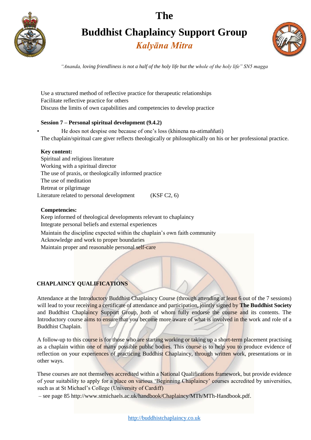

**Buddhist Chaplaincy Support Group**

*Kalyāna Mitra*



*"Ananda, loving friendliness is not a half of the holy life but the whole of the holy life" SN5 magga*

Use a structured method of reflective practice for therapeutic relationships Facilitate reflective practice for others Discuss the limits of own capabilities and competencies to develop practice

#### **Session 7 – Personal spiritual development (9.4.2)**

• He does not despise one because of one's loss (khinena na-atimaññati) The chaplain/spiritual care giver reflects theologically or philosophically on his or her professional practice.

#### **Key content:**

Spiritual and religious literature Working with a spiritual director The use of praxis, or theologically informed practice The use of meditation Retreat or pilgrimage Literature related to personal development (KSF C2, 6)

#### **Competencies:**

Keep informed of theological developments relevant to chaplaincy Integrate personal beliefs and external experiences Maintain the discipline expected within the chaplain's own faith community Acknowledge and work to proper boundaries Maintain proper and reasonable personal self-care

### **CHAPLAINCY QUALIFICATIONS**

Attendance at the Introductory Buddhist Chaplaincy Course (through attending at least 6 out of the 7 sessions) will lead to your receiving a certificate of attendance and participation, jointly signed by **The Buddhist Society**  and Buddhist Chaplaincy Support Group, both of whom fully endorse the course and its contents. The Introductory course aims to ensure that you become more aware of what is involved in the work and role of a Buddhist Chaplain.

A follow-up to this course is for those who are starting working or taking up a short-term placement practising as a chaplain within one of many possible public bodies. This course is to help you to produce evidence of reflection on your experiences of practicing Buddhist Chaplaincy, through written work, presentations or in other ways.

These courses are not themselves accredited within a National Qualifications framework, but provide evidence of your suitability to apply for a place on various 'Beginning Chaplaincy' courses accredited by universities, such as at St Michael's College (University of Cardiff)

– see page 85 http://www.stmichaels.ac.uk/handbook/Chaplaincy/MTh/MTh-Handbook.pdf.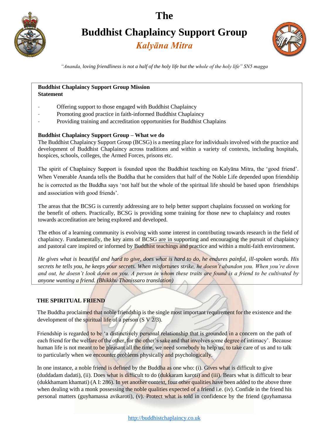

**Buddhist Chaplaincy Support Group**

### *Kalyāna Mitra*



*"Ananda, loving friendliness is not a half of the holy life but the whole of the holy life" SN5 magga*

#### **Buddhist Chaplaincy Support Group Mission Statement**

- Offering support to those engaged with Buddhist Chaplaincy
- Promoting good practice in faith-informed Buddhist Chaplaincy
- Providing training and accreditation opportunities for Buddhist Chaplains

#### **Buddhist Chaplaincy Support Group – What we do**

The Buddhist Chaplaincy Support Group (BCSG) is a meeting place for individuals involved with the practice and development of Buddhist Chaplaincy across traditions and within a variety of contexts, including hospitals, hospices, schools, colleges, the Armed Forces, prisons etc.

The spirit of Chaplaincy Support is founded upon the Buddhist teaching on Kalyāna Mitra, the 'good friend'. When Venerable Ananda tells the Buddha that he considers that half of the Noble Life depended upon friendship he is corrected as the Buddha says 'not half but the whole of the spiritual life should be based upon friendships and association with good friends'.

The areas that the BCSG is currently addressing are to help better support chaplains focussed on working for the benefit of others. Practically, BCSG is providing some training for those new to chaplaincy and routes towards accreditation are being explored and developed.

The ethos of a learning community is evolving with some interest in contributing towards research in the field of chaplaincy. Fundamentally, the key aims of BCSG are in supporting and encouraging the pursuit of chaplaincy and pastoral care inspired or informed by Buddhist teachings and practice and within a multi-faith environment.

*He gives what is beautiful and hard to give, does what is hard to do, he endures painful, ill-spoken words. His secrets he tells you, he keeps your secrets. When misfortunes strike, he doesn't abandon you. When you're down and out, he doesn't look down on you. A person in whom these traits are found is a friend to be cultivated by anyone wanting a friend. (Bhikkhu Thanissaro translation)* 

### **THE SPIRITUAL FRIEND**

The Buddha proclaimed that noble friendship is the single most important requirement for the existence and the development of the spiritual life of a person (S V 2/3).

Friendship is regarded to be 'a distinctively personal relationship that is grounded in a concern on the path of each friend for the welfare of the other, for the other's sake and that involves some degree of intimacy'. Because human life is not meant to be pleasant all the time, we need somebody to help us, to take care of us and to talk to particularly when we encounter problems physically and psychologically.

In one instance, a noble friend is defined by the Buddha as one who: (i). Gives what is difficult to give (duddadam dadati), (ii). Does what is difficult to do (dukkaram karoti) and (iii). Bears what is difficult to bear (dukkhamam khamati) (A I: 286). In yet another context, four other qualities have been added to the above three when dealing with a monk possessing the noble qualities expected of a friend i.e. (iv). Confide in the friend his personal matters (guyhamassa avikaroti), (v). Protect what is told in confidence by the friend (guyhamassa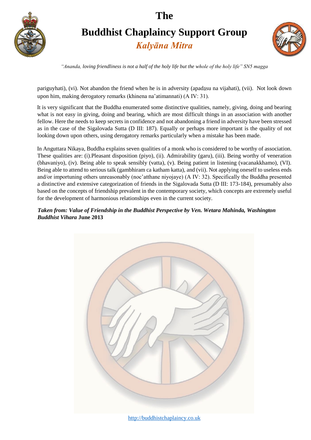

# **Buddhist Chaplaincy Support Group**

*Kalyāna Mitra*



*"Ananda, loving friendliness is not a half of the holy life but the whole of the holy life" SN5 magga*

pariguyhati), (vi). Not abandon the friend when he is in adversity (apadāsu na vijahati), (vii). Not look down upon him, making derogatory remarks (khinena na'atimannati) (A IV: 31).

It is very significant that the Buddha enumerated some distinctive qualities, namely, giving, doing and bearing what is not easy in giving, doing and bearing, which are most difficult things in an association with another fellow. Here the needs to keep secrets in confidence and not abandoning a friend in adversity have been stressed as in the case of the Sigalovada Sutta (D III: 187). Equally or perhaps more important is the quality of not looking down upon others, using derogatory remarks particularly when a mistake has been made.

In Anguttara Nikaya, Buddha explains seven qualities of a monk who is considered to be worthy of association. These qualities are: (i).Pleasant disposition (piyo), (ii). Admirability (garu), (iii). Being worthy of veneration (bhavaniyo), (iv). Being able to speak sensibly (vatta), (v). Being patient in listening (vacanakkhamo), (VI). Being able to attend to serious talk (gambhiram ca katham katta), and (vii). Not applying oneself to useless ends and/or importuning others unreasonably (noc'atthane niyojaye) (A IV: 32). Specifically the Buddha presented a distinctive and extensive categorization of friends in the Sigalovada Sutta (D III: 173-184), presumably also based on the concepts of friendship prevalent in the contemporary society, which concepts are extremely useful for the development of harmonious relationships even in the current society.

#### *Taken from: Value of Friendship in the Buddhist Perspective by Ven. Wetara Mahinda, Washington Buddhist Vihara* **June 2013**



[http://buddhistchaplaincy.co.uk](http://buddhistchaplaincy.co.uk/)